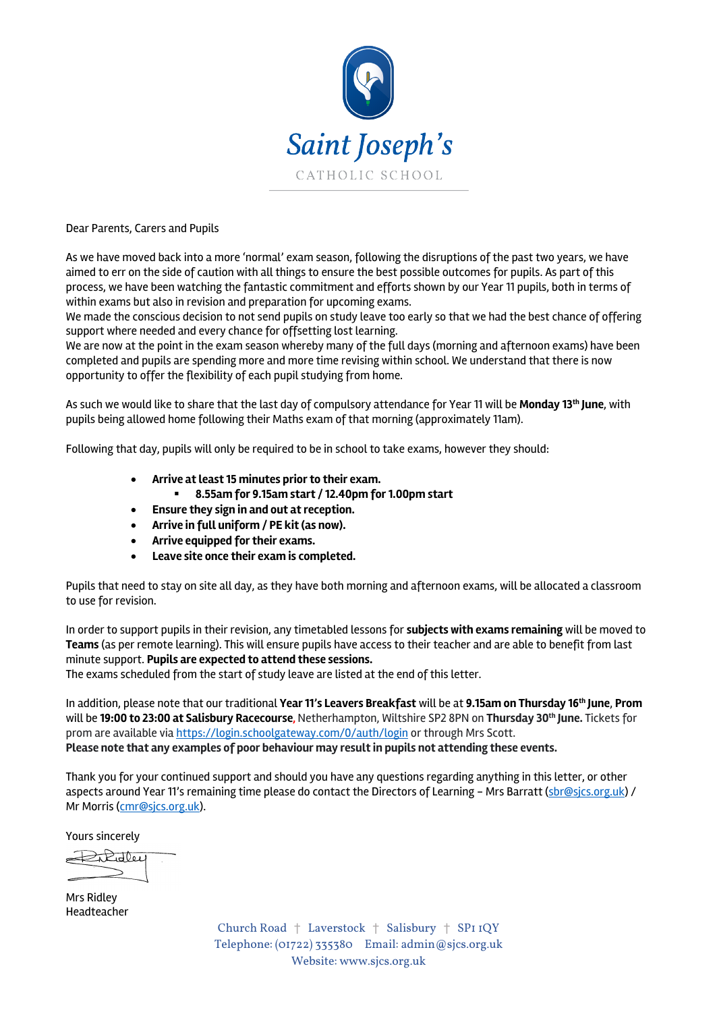

Dear Parents, Carers and Pupils

As we have moved back into a more 'normal' exam season, following the disruptions of the past two years, we have aimed to err on the side of caution with all things to ensure the best possible outcomes for pupils. As part of this process, we have been watching the fantastic commitment and efforts shown by our Year 11 pupils, both in terms of within exams but also in revision and preparation for upcoming exams.

We made the conscious decision to not send pupils on study leave too early so that we had the best chance of offering support where needed and every chance for offsetting lost learning.

We are now at the point in the exam season whereby many of the full days (morning and afternoon exams) have been completed and pupils are spending more and more time revising within school. We understand that there is now opportunity to offer the flexibility of each pupil studying from home.

As such we would like to share that the last day of compulsory attendance for Year 11 will be **Monday 13th June**, with pupils being allowed home following their Maths exam of that morning (approximately 11am).

Following that day, pupils will only be required to be in school to take exams, however they should:

- **Arrive at least 15 minutes prior to their exam.**
	- § **8.55am for 9.15am start / 12.40pm for 1.00pm start**
- **Ensure they sign in and out at reception.**
- **Arrive in full uniform / PE kit (as now).**
- **Arrive equipped for their exams.**
- **Leave site once their exam is completed.**

Pupils that need to stay on site all day, as they have both morning and afternoon exams, will be allocated a classroom to use for revision.

In order to support pupils in their revision, any timetabled lessons for **subjects with exams remaining** will be moved to **Teams** (as per remote learning). This will ensure pupils have access to their teacher and are able to benefit from last minute support. **Pupils are expected to attend these sessions.**

The exams scheduled from the start of study leave are listed at the end of this letter.

In addition, please note that our traditional **Year 11's Leavers Breakfast** will be at **9.15am on Thursday 16th June**, **Prom** will be **19:00 to 23:00 at Salisbury Racecourse,** Netherhampton, Wiltshire SP2 8PN on **Thursday 30th June.** Tickets for prom are available via https://login.schoolgateway.com/0/auth/login or through Mrs Scott. **Please note that any examples of poor behaviour may result in pupils not attending these events.**

Thank you for your continued support and should you have any questions regarding anything in this letter, or other aspects around Year 11's remaining time please do contact the Directors of Learning - Mrs Barratt (sbr@sjcs.org.uk) / Mr Morris (cmr@sjcs.org.uk).

Yours sincerely

 $\bigoplus$  Robert

Mrs Ridley Headteacher

Church Road † Laverstock † Salisbury † SP1 1QY Telephone: (01722) 335380 Email: admin@sjcs.org.uk Website: www.sjcs.org.uk